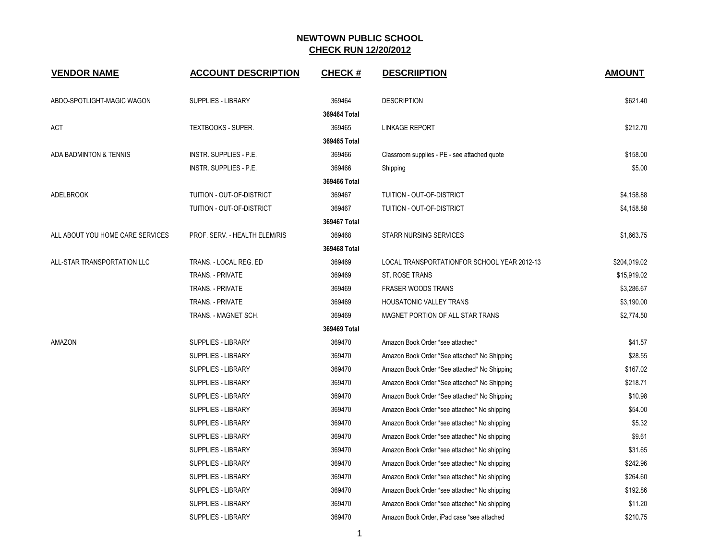| <b>VENDOR NAME</b>               | <b>ACCOUNT DESCRIPTION</b>    | <b>CHECK#</b> | <b>DESCRIIPTION</b>                          | <b>AMOUNT</b> |
|----------------------------------|-------------------------------|---------------|----------------------------------------------|---------------|
| ABDO-SPOTLIGHT-MAGIC WAGON       | <b>SUPPLIES - LIBRARY</b>     | 369464        | <b>DESCRIPTION</b>                           | \$621.40      |
|                                  |                               | 369464 Total  |                                              |               |
| ACT                              | TEXTBOOKS - SUPER.            | 369465        | <b>LINKAGE REPORT</b>                        | \$212.70      |
|                                  |                               | 369465 Total  |                                              |               |
| ADA BADMINTON & TENNIS           | INSTR. SUPPLIES - P.E.        | 369466        | Classroom supplies - PE - see attached quote | \$158.00      |
|                                  | INSTR. SUPPLIES - P.E.        | 369466        | Shipping                                     | \$5.00        |
|                                  |                               | 369466 Total  |                                              |               |
| <b>ADELBROOK</b>                 | TUITION - OUT-OF-DISTRICT     | 369467        | TUITION - OUT-OF-DISTRICT                    | \$4,158.88    |
|                                  | TUITION - OUT-OF-DISTRICT     | 369467        | TUITION - OUT-OF-DISTRICT                    | \$4,158.88    |
|                                  |                               | 369467 Total  |                                              |               |
| ALL ABOUT YOU HOME CARE SERVICES | PROF. SERV. - HEALTH ELEM/RIS | 369468        | <b>STARR NURSING SERVICES</b>                | \$1,663.75    |
|                                  |                               | 369468 Total  |                                              |               |
| ALL-STAR TRANSPORTATION LLC      | TRANS. - LOCAL REG. ED        | 369469        | LOCAL TRANSPORTATIONFOR SCHOOL YEAR 2012-13  | \$204,019.02  |
|                                  | TRANS. - PRIVATE              | 369469        | ST. ROSE TRANS                               | \$15,919.02   |
|                                  | TRANS. - PRIVATE              | 369469        | <b>FRASER WOODS TRANS</b>                    | \$3,286.67    |
|                                  | TRANS. - PRIVATE              | 369469        | <b>HOUSATONIC VALLEY TRANS</b>               | \$3,190.00    |
|                                  | TRANS. - MAGNET SCH.          | 369469        | MAGNET PORTION OF ALL STAR TRANS             | \$2,774.50    |
|                                  |                               | 369469 Total  |                                              |               |
| AMAZON                           | <b>SUPPLIES - LIBRARY</b>     | 369470        | Amazon Book Order *see attached*             | \$41.57       |
|                                  | SUPPLIES - LIBRARY            | 369470        | Amazon Book Order *See attached* No Shipping | \$28.55       |
|                                  | SUPPLIES - LIBRARY            | 369470        | Amazon Book Order *See attached* No Shipping | \$167.02      |
|                                  | SUPPLIES - LIBRARY            | 369470        | Amazon Book Order *See attached* No Shipping | \$218.71      |
|                                  | <b>SUPPLIES - LIBRARY</b>     | 369470        | Amazon Book Order *See attached* No Shipping | \$10.98       |
|                                  | <b>SUPPLIES - LIBRARY</b>     | 369470        | Amazon Book Order *see attached* No shipping | \$54.00       |
|                                  | SUPPLIES - LIBRARY            | 369470        | Amazon Book Order *see attached* No shipping | \$5.32        |
|                                  | <b>SUPPLIES - LIBRARY</b>     | 369470        | Amazon Book Order *see attached* No shipping | \$9.61        |
|                                  | SUPPLIES - LIBRARY            | 369470        | Amazon Book Order *see attached* No shipping | \$31.65       |
|                                  | SUPPLIES - LIBRARY            | 369470        | Amazon Book Order *see attached* No shipping | \$242.96      |
|                                  | <b>SUPPLIES - LIBRARY</b>     | 369470        | Amazon Book Order *see attached* No shipping | \$264.60      |
|                                  | SUPPLIES - LIBRARY            | 369470        | Amazon Book Order *see attached* No shipping | \$192.86      |
|                                  | <b>SUPPLIES - LIBRARY</b>     | 369470        | Amazon Book Order *see attached* No shipping | \$11.20       |
|                                  | <b>SUPPLIES - LIBRARY</b>     | 369470        | Amazon Book Order, iPad case *see attached   | \$210.75      |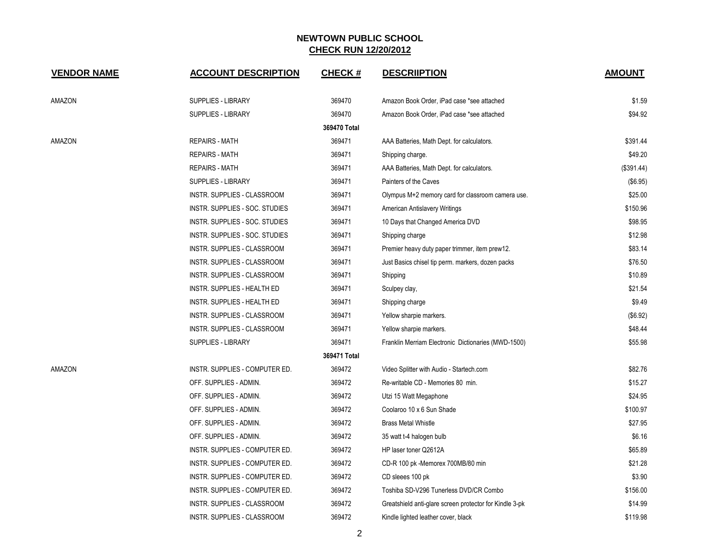| <b>VENDOR NAME</b> | <b>ACCOUNT DESCRIPTION</b>     | <b>CHECK#</b> | <b>DESCRIPTION</b>                                      | <b>AMOUNT</b> |
|--------------------|--------------------------------|---------------|---------------------------------------------------------|---------------|
| AMAZON             | <b>SUPPLIES - LIBRARY</b>      | 369470        | Amazon Book Order, iPad case *see attached              | \$1.59        |
|                    | <b>SUPPLIES - LIBRARY</b>      | 369470        | Amazon Book Order, iPad case *see attached              | \$94.92       |
|                    |                                | 369470 Total  |                                                         |               |
| AMAZON             | <b>REPAIRS - MATH</b>          | 369471        | AAA Batteries, Math Dept. for calculators.              | \$391.44      |
|                    | <b>REPAIRS - MATH</b>          | 369471        | Shipping charge.                                        | \$49.20       |
|                    | <b>REPAIRS - MATH</b>          | 369471        | AAA Batteries, Math Dept. for calculators.              | (\$391.44)    |
|                    | <b>SUPPLIES - LIBRARY</b>      | 369471        | Painters of the Caves                                   | (\$6.95)      |
|                    | INSTR. SUPPLIES - CLASSROOM    | 369471        | Olympus M+2 memory card for classroom camera use.       | \$25.00       |
|                    | INSTR. SUPPLIES - SOC. STUDIES | 369471        | American Antislavery Writings                           | \$150.96      |
|                    | INSTR. SUPPLIES - SOC. STUDIES | 369471        | 10 Days that Changed America DVD                        | \$98.95       |
|                    | INSTR. SUPPLIES - SOC. STUDIES | 369471        | Shipping charge                                         | \$12.98       |
|                    | INSTR. SUPPLIES - CLASSROOM    | 369471        | Premier heavy duty paper trimmer, item prew12.          | \$83.14       |
|                    | INSTR. SUPPLIES - CLASSROOM    | 369471        | Just Basics chisel tip perm. markers, dozen packs       | \$76.50       |
|                    | INSTR. SUPPLIES - CLASSROOM    | 369471        | Shipping                                                | \$10.89       |
|                    | INSTR. SUPPLIES - HEALTH ED    | 369471        | Sculpey clay,                                           | \$21.54       |
|                    | INSTR. SUPPLIES - HEALTH ED    | 369471        | Shipping charge                                         | \$9.49        |
|                    | INSTR. SUPPLIES - CLASSROOM    | 369471        | Yellow sharpie markers.                                 | (\$6.92)      |
|                    | INSTR. SUPPLIES - CLASSROOM    | 369471        | Yellow sharpie markers.                                 | \$48.44       |
|                    | <b>SUPPLIES - LIBRARY</b>      | 369471        | Franklin Merriam Electronic Dictionaries (MWD-1500)     | \$55.98       |
|                    |                                | 369471 Total  |                                                         |               |
| AMAZON             | INSTR. SUPPLIES - COMPUTER ED. | 369472        | Video Splitter with Audio - Startech.com                | \$82.76       |
|                    | OFF. SUPPLIES - ADMIN.         | 369472        | Re-writable CD - Memories 80 min.                       | \$15.27       |
|                    | OFF. SUPPLIES - ADMIN.         | 369472        | Utzi 15 Watt Megaphone                                  | \$24.95       |
|                    | OFF. SUPPLIES - ADMIN.         | 369472        | Coolaroo 10 x 6 Sun Shade                               | \$100.97      |
|                    | OFF. SUPPLIES - ADMIN.         | 369472        | <b>Brass Metal Whistle</b>                              | \$27.95       |
|                    | OFF. SUPPLIES - ADMIN.         | 369472        | 35 watt t-4 halogen bulb                                | \$6.16        |
|                    | INSTR. SUPPLIES - COMPUTER ED. | 369472        | HP laser toner Q2612A                                   | \$65.89       |
|                    | INSTR. SUPPLIES - COMPUTER ED. | 369472        | CD-R 100 pk -Memorex 700MB/80 min                       | \$21.28       |
|                    | INSTR. SUPPLIES - COMPUTER ED. | 369472        | CD sleees 100 pk                                        | \$3.90        |
|                    | INSTR. SUPPLIES - COMPUTER ED. | 369472        | Toshiba SD-V296 Tunerless DVD/CR Combo                  | \$156.00      |
|                    | INSTR. SUPPLIES - CLASSROOM    | 369472        | Greatshield anti-glare screen protector for Kindle 3-pk | \$14.99       |
|                    | INSTR. SUPPLIES - CLASSROOM    | 369472        | Kindle lighted leather cover, black                     | \$119.98      |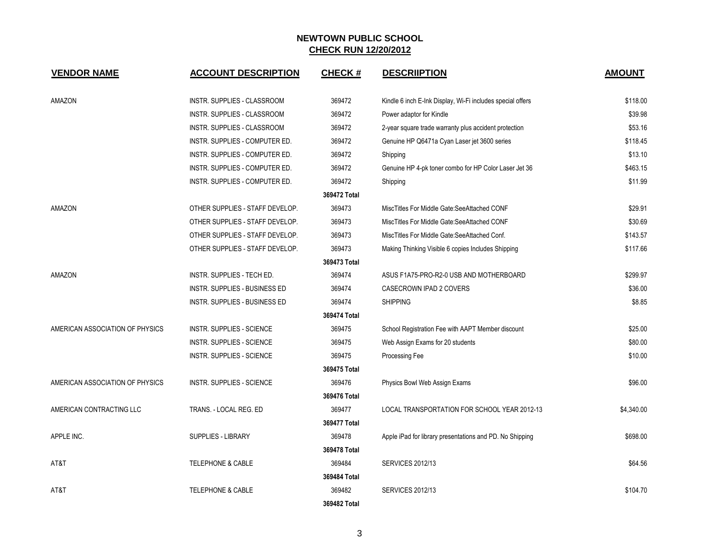| <b>VENDOR NAME</b>              | <b>ACCOUNT DESCRIPTION</b>      | <b>CHECK#</b> | <b>DESCRIIPTION</b>                                        | <b>AMOUNT</b> |
|---------------------------------|---------------------------------|---------------|------------------------------------------------------------|---------------|
| <b>AMAZON</b>                   | INSTR. SUPPLIES - CLASSROOM     | 369472        | Kindle 6 inch E-Ink Display, Wi-Fi includes special offers | \$118.00      |
|                                 | INSTR. SUPPLIES - CLASSROOM     | 369472        | Power adaptor for Kindle                                   | \$39.98       |
|                                 | INSTR. SUPPLIES - CLASSROOM     | 369472        | 2-year square trade warranty plus accident protection      | \$53.16       |
|                                 | INSTR. SUPPLIES - COMPUTER ED.  | 369472        | Genuine HP Q6471a Cyan Laser jet 3600 series               | \$118.45      |
|                                 | INSTR. SUPPLIES - COMPUTER ED.  | 369472        | Shipping                                                   | \$13.10       |
|                                 | INSTR. SUPPLIES - COMPUTER ED.  | 369472        | Genuine HP 4-pk toner combo for HP Color Laser Jet 36      | \$463.15      |
|                                 | INSTR. SUPPLIES - COMPUTER ED.  | 369472        | Shipping                                                   | \$11.99       |
|                                 |                                 | 369472 Total  |                                                            |               |
| AMAZON                          | OTHER SUPPLIES - STAFF DEVELOP. | 369473        | MiscTitles For Middle Gate: See Attached CONF              | \$29.91       |
|                                 | OTHER SUPPLIES - STAFF DEVELOP. | 369473        | MiscTitles For Middle Gate: See Attached CONF              | \$30.69       |
|                                 | OTHER SUPPLIES - STAFF DEVELOP. | 369473        | MiscTitles For Middle Gate: See Attached Conf.             | \$143.57      |
|                                 | OTHER SUPPLIES - STAFF DEVELOP. | 369473        | Making Thinking Visible 6 copies Includes Shipping         | \$117.66      |
|                                 |                                 | 369473 Total  |                                                            |               |
| AMAZON                          | INSTR. SUPPLIES - TECH ED.      | 369474        | ASUS F1A75-PRO-R2-0 USB AND MOTHERBOARD                    | \$299.97      |
|                                 | INSTR. SUPPLIES - BUSINESS ED   | 369474        | CASECROWN IPAD 2 COVERS                                    | \$36.00       |
|                                 | INSTR. SUPPLIES - BUSINESS ED   | 369474        | <b>SHIPPING</b>                                            | \$8.85        |
|                                 |                                 | 369474 Total  |                                                            |               |
| AMERICAN ASSOCIATION OF PHYSICS | INSTR. SUPPLIES - SCIENCE       | 369475        | School Registration Fee with AAPT Member discount          | \$25.00       |
|                                 | INSTR. SUPPLIES - SCIENCE       | 369475        | Web Assign Exams for 20 students                           | \$80.00       |
|                                 | INSTR. SUPPLIES - SCIENCE       | 369475        | Processing Fee                                             | \$10.00       |
|                                 |                                 | 369475 Total  |                                                            |               |
| AMERICAN ASSOCIATION OF PHYSICS | INSTR. SUPPLIES - SCIENCE       | 369476        | Physics Bowl Web Assign Exams                              | \$96.00       |
|                                 |                                 | 369476 Total  |                                                            |               |
| AMERICAN CONTRACTING LLC        | TRANS. - LOCAL REG. ED          | 369477        | LOCAL TRANSPORTATION FOR SCHOOL YEAR 2012-13               | \$4,340.00    |
|                                 |                                 | 369477 Total  |                                                            |               |
| APPLE INC.                      | SUPPLIES - LIBRARY              | 369478        | Apple iPad for library presentations and PD. No Shipping   | \$698.00      |
|                                 |                                 | 369478 Total  |                                                            |               |
| AT&T                            | <b>TELEPHONE &amp; CABLE</b>    | 369484        | <b>SERVICES 2012/13</b>                                    | \$64.56       |
|                                 |                                 | 369484 Total  |                                                            |               |
| AT&T                            | <b>TELEPHONE &amp; CABLE</b>    | 369482        | <b>SERVICES 2012/13</b>                                    | \$104.70      |
|                                 |                                 | 369482 Total  |                                                            |               |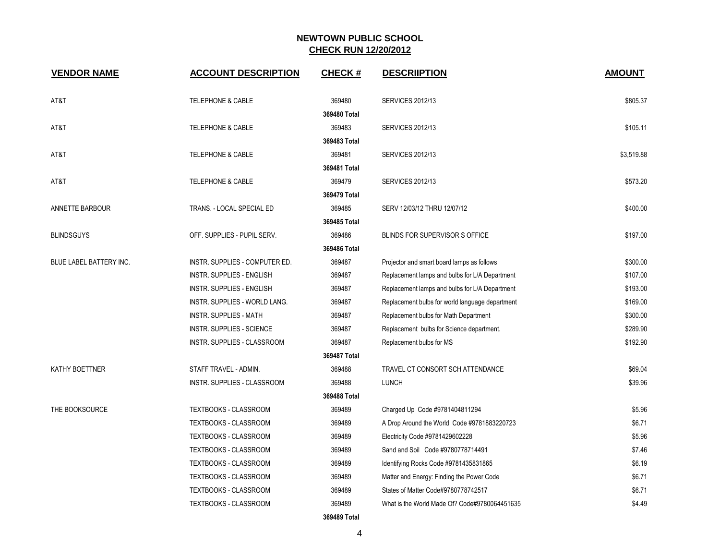| <b>VENDOR NAME</b>      | <b>ACCOUNT DESCRIPTION</b>     | <b>CHECK#</b> | <b>DESCRIPTION</b>                              | <b>AMOUNT</b> |
|-------------------------|--------------------------------|---------------|-------------------------------------------------|---------------|
| AT&T                    | <b>TELEPHONE &amp; CABLE</b>   | 369480        | <b>SERVICES 2012/13</b>                         | \$805.37      |
|                         |                                | 369480 Total  |                                                 |               |
| AT&T                    | TELEPHONE & CABLE              | 369483        | <b>SERVICES 2012/13</b>                         | \$105.11      |
|                         |                                | 369483 Total  |                                                 |               |
| AT&T                    | <b>TELEPHONE &amp; CABLE</b>   | 369481        | <b>SERVICES 2012/13</b>                         | \$3,519.88    |
|                         |                                | 369481 Total  |                                                 |               |
| AT&T                    | <b>TELEPHONE &amp; CABLE</b>   | 369479        | <b>SERVICES 2012/13</b>                         | \$573.20      |
|                         |                                | 369479 Total  |                                                 |               |
| ANNETTE BARBOUR         | TRANS. - LOCAL SPECIAL ED      | 369485        | SERV 12/03/12 THRU 12/07/12                     | \$400.00      |
|                         |                                | 369485 Total  |                                                 |               |
| <b>BLINDSGUYS</b>       | OFF. SUPPLIES - PUPIL SERV.    | 369486        | BLINDS FOR SUPERVISOR S OFFICE                  | \$197.00      |
|                         |                                | 369486 Total  |                                                 |               |
| BLUE LABEL BATTERY INC. | INSTR. SUPPLIES - COMPUTER ED. | 369487        | Projector and smart board lamps as follows      | \$300.00      |
|                         | INSTR. SUPPLIES - ENGLISH      | 369487        | Replacement lamps and bulbs for L/A Department  | \$107.00      |
|                         | INSTR. SUPPLIES - ENGLISH      | 369487        | Replacement lamps and bulbs for L/A Department  | \$193.00      |
|                         | INSTR. SUPPLIES - WORLD LANG.  | 369487        | Replacement bulbs for world language department | \$169.00      |
|                         | <b>INSTR. SUPPLIES - MATH</b>  | 369487        | Replacement bulbs for Math Department           | \$300.00      |
|                         | INSTR. SUPPLIES - SCIENCE      | 369487        | Replacement bulbs for Science department.       | \$289.90      |
|                         | INSTR. SUPPLIES - CLASSROOM    | 369487        | Replacement bulbs for MS                        | \$192.90      |
|                         |                                | 369487 Total  |                                                 |               |
| KATHY BOETTNER          | STAFF TRAVEL - ADMIN.          | 369488        | TRAVEL CT CONSORT SCH ATTENDANCE                | \$69.04       |
|                         | INSTR. SUPPLIES - CLASSROOM    | 369488        | <b>LUNCH</b>                                    | \$39.96       |
|                         |                                | 369488 Total  |                                                 |               |
| THE BOOKSOURCE          | <b>TEXTBOOKS - CLASSROOM</b>   | 369489        | Charged Up Code #9781404811294                  | \$5.96        |
|                         | TEXTBOOKS - CLASSROOM          | 369489        | A Drop Around the World Code #9781883220723     | \$6.71        |
|                         | <b>TEXTBOOKS - CLASSROOM</b>   | 369489        | Electricity Code #9781429602228                 | \$5.96        |
|                         | <b>TEXTBOOKS - CLASSROOM</b>   | 369489        | Sand and Soil Code #9780778714491               | \$7.46        |
|                         | TEXTBOOKS - CLASSROOM          | 369489        | Identifying Rocks Code #9781435831865           | \$6.19        |
|                         | <b>TEXTBOOKS - CLASSROOM</b>   | 369489        | Matter and Energy: Finding the Power Code       | \$6.71        |
|                         | <b>TEXTBOOKS - CLASSROOM</b>   | 369489        | States of Matter Code#9780778742517             | \$6.71        |
|                         | TEXTBOOKS - CLASSROOM          | 369489        | What is the World Made Of? Code#9780064451635   | \$4.49        |
|                         |                                |               |                                                 |               |

**369489 Total**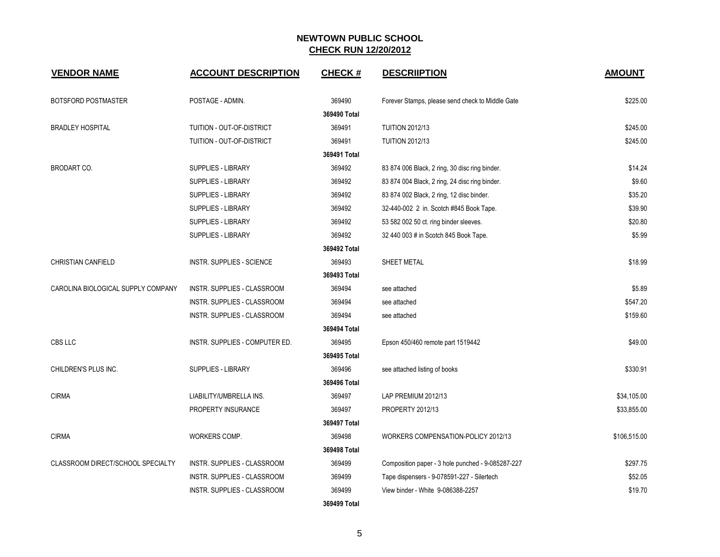| <b>VENDOR NAME</b>                 | <b>ACCOUNT DESCRIPTION</b>     | <b>CHECK#</b> | <b>DESCRIIPTION</b>                               | <b>AMOUNT</b> |
|------------------------------------|--------------------------------|---------------|---------------------------------------------------|---------------|
| <b>BOTSFORD POSTMASTER</b>         | POSTAGE - ADMIN.               | 369490        | Forever Stamps, please send check to Middle Gate  | \$225.00      |
|                                    |                                | 369490 Total  |                                                   |               |
| <b>BRADLEY HOSPITAL</b>            | TUITION - OUT-OF-DISTRICT      | 369491        | <b>TUITION 2012/13</b>                            | \$245.00      |
|                                    | TUITION - OUT-OF-DISTRICT      | 369491        | <b>TUITION 2012/13</b>                            | \$245.00      |
|                                    |                                | 369491 Total  |                                                   |               |
| BRODART CO.                        | <b>SUPPLIES - LIBRARY</b>      | 369492        | 83 874 006 Black, 2 ring, 30 disc ring binder.    | \$14.24       |
|                                    | <b>SUPPLIES - LIBRARY</b>      | 369492        | 83 874 004 Black, 2 ring, 24 disc ring binder.    | \$9.60        |
|                                    | SUPPLIES - LIBRARY             | 369492        | 83 874 002 Black, 2 ring, 12 disc binder.         | \$35.20       |
|                                    | SUPPLIES - LIBRARY             | 369492        | 32-440-002 2 in. Scotch #845 Book Tape.           | \$39.90       |
|                                    | SUPPLIES - LIBRARY             | 369492        | 53 582 002 50 ct. ring binder sleeves.            | \$20.80       |
|                                    | <b>SUPPLIES - LIBRARY</b>      | 369492        | 32 440 003 # in Scotch 845 Book Tape.             | \$5.99        |
|                                    |                                | 369492 Total  |                                                   |               |
| <b>CHRISTIAN CANFIELD</b>          | INSTR. SUPPLIES - SCIENCE      | 369493        | SHEET METAL                                       | \$18.99       |
|                                    |                                | 369493 Total  |                                                   |               |
| CAROLINA BIOLOGICAL SUPPLY COMPANY | INSTR. SUPPLIES - CLASSROOM    | 369494        | see attached                                      | \$5.89        |
|                                    | INSTR. SUPPLIES - CLASSROOM    | 369494        | see attached                                      | \$547.20      |
|                                    | INSTR. SUPPLIES - CLASSROOM    | 369494        | see attached                                      | \$159.60      |
|                                    |                                | 369494 Total  |                                                   |               |
| CBS LLC                            | INSTR. SUPPLIES - COMPUTER ED. | 369495        | Epson 450/460 remote part 1519442                 | \$49.00       |
|                                    |                                | 369495 Total  |                                                   |               |
| CHILDREN'S PLUS INC.               | <b>SUPPLIES - LIBRARY</b>      | 369496        | see attached listing of books                     | \$330.91      |
|                                    |                                | 369496 Total  |                                                   |               |
| <b>CIRMA</b>                       | LIABILITY/UMBRELLA INS.        | 369497        | LAP PREMIUM 2012/13                               | \$34,105.00   |
|                                    | PROPERTY INSURANCE             | 369497        | PROPERTY 2012/13                                  | \$33,855.00   |
|                                    |                                | 369497 Total  |                                                   |               |
| <b>CIRMA</b>                       | WORKERS COMP.                  | 369498        | WORKERS COMPENSATION-POLICY 2012/13               | \$106,515.00  |
|                                    |                                | 369498 Total  |                                                   |               |
| CLASSROOM DIRECT/SCHOOL SPECIALTY  | INSTR. SUPPLIES - CLASSROOM    | 369499        | Composition paper - 3 hole punched - 9-085287-227 | \$297.75      |
|                                    | INSTR. SUPPLIES - CLASSROOM    | 369499        | Tape dispensers - 9-078591-227 - Silertech        | \$52.05       |
|                                    | INSTR. SUPPLIES - CLASSROOM    | 369499        | View binder - White 9-086388-2257                 | \$19.70       |
|                                    |                                | 369499 Total  |                                                   |               |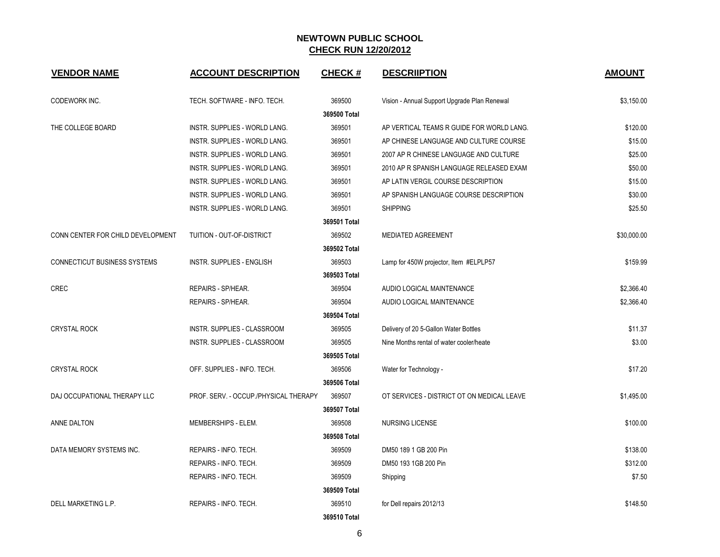| <b>VENDOR NAME</b>                  | <b>ACCOUNT DESCRIPTION</b>            | <b>CHECK#</b> | <b>DESCRIIPTION</b>                          | <b>AMOUNT</b> |
|-------------------------------------|---------------------------------------|---------------|----------------------------------------------|---------------|
| CODEWORK INC.                       | TECH. SOFTWARE - INFO. TECH.          | 369500        | Vision - Annual Support Upgrade Plan Renewal | \$3,150.00    |
|                                     |                                       | 369500 Total  |                                              |               |
| THE COLLEGE BOARD                   | INSTR. SUPPLIES - WORLD LANG.         | 369501        | AP VERTICAL TEAMS R GUIDE FOR WORLD LANG.    | \$120.00      |
|                                     | INSTR. SUPPLIES - WORLD LANG.         | 369501        | AP CHINESE LANGUAGE AND CULTURE COURSE       | \$15.00       |
|                                     | INSTR. SUPPLIES - WORLD LANG.         | 369501        | 2007 AP R CHINESE LANGUAGE AND CULTURE       | \$25.00       |
|                                     | INSTR. SUPPLIES - WORLD LANG.         | 369501        | 2010 AP R SPANISH LANGUAGE RELEASED EXAM     | \$50.00       |
|                                     | INSTR. SUPPLIES - WORLD LANG.         | 369501        | AP LATIN VERGIL COURSE DESCRIPTION           | \$15.00       |
|                                     | INSTR. SUPPLIES - WORLD LANG.         | 369501        | AP SPANISH LANGUAGE COURSE DESCRIPTION       | \$30.00       |
|                                     | INSTR. SUPPLIES - WORLD LANG.         | 369501        | <b>SHIPPING</b>                              | \$25.50       |
|                                     |                                       | 369501 Total  |                                              |               |
| CONN CENTER FOR CHILD DEVELOPMENT   | TUITION - OUT-OF-DISTRICT             | 369502        | <b>MEDIATED AGREEMENT</b>                    | \$30,000.00   |
|                                     |                                       | 369502 Total  |                                              |               |
| <b>CONNECTICUT BUSINESS SYSTEMS</b> | <b>INSTR. SUPPLIES - ENGLISH</b>      | 369503        | Lamp for 450W projector, Item #ELPLP57       | \$159.99      |
|                                     |                                       | 369503 Total  |                                              |               |
| <b>CREC</b>                         | REPAIRS - SP/HEAR.                    | 369504        | AUDIO LOGICAL MAINTENANCE                    | \$2,366.40    |
|                                     | REPAIRS - SP/HEAR.                    | 369504        | AUDIO LOGICAL MAINTENANCE                    | \$2,366.40    |
|                                     |                                       | 369504 Total  |                                              |               |
| <b>CRYSTAL ROCK</b>                 | INSTR. SUPPLIES - CLASSROOM           | 369505        | Delivery of 20 5-Gallon Water Bottles        | \$11.37       |
|                                     | INSTR. SUPPLIES - CLASSROOM           | 369505        | Nine Months rental of water cooler/heate     | \$3.00        |
|                                     |                                       | 369505 Total  |                                              |               |
| <b>CRYSTAL ROCK</b>                 | OFF. SUPPLIES - INFO. TECH.           | 369506        | Water for Technology -                       | \$17.20       |
|                                     |                                       | 369506 Total  |                                              |               |
| DAJ OCCUPATIONAL THERAPY LLC        | PROF. SERV. - OCCUP./PHYSICAL THERAPY | 369507        | OT SERVICES - DISTRICT OT ON MEDICAL LEAVE   | \$1,495.00    |
|                                     |                                       | 369507 Total  |                                              |               |
| ANNE DALTON                         | MEMBERSHIPS - ELEM.                   | 369508        | <b>NURSING LICENSE</b>                       | \$100.00      |
|                                     |                                       | 369508 Total  |                                              |               |
| DATA MEMORY SYSTEMS INC.            | REPAIRS - INFO. TECH.                 | 369509        | DM50 189 1 GB 200 Pin                        | \$138.00      |
|                                     | REPAIRS - INFO. TECH.                 | 369509        | DM50 193 1GB 200 Pin                         | \$312.00      |
|                                     | REPAIRS - INFO. TECH.                 | 369509        | Shipping                                     | \$7.50        |
|                                     |                                       | 369509 Total  |                                              |               |
| DELL MARKETING L.P.                 | REPAIRS - INFO. TECH.                 | 369510        | for Dell repairs 2012/13                     | \$148.50      |
|                                     |                                       | 369510 Total  |                                              |               |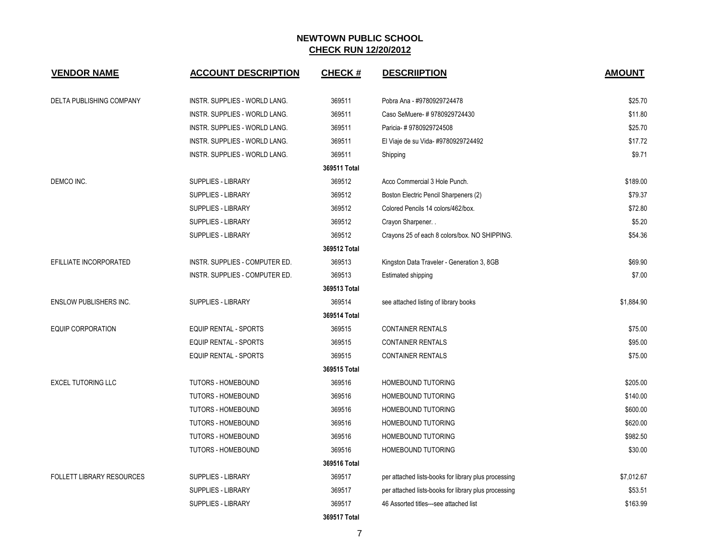| <b>VENDOR NAME</b>               | <b>ACCOUNT DESCRIPTION</b>           | <b>CHECK#</b> | <b>DESCRIIPTION</b>                                  | <b>AMOUNT</b> |
|----------------------------------|--------------------------------------|---------------|------------------------------------------------------|---------------|
| DELTA PUBLISHING COMPANY         | INSTR. SUPPLIES - WORLD LANG.        | 369511        | Pobra Ana - #9780929724478                           | \$25.70       |
|                                  | INSTR. SUPPLIES - WORLD LANG.        | 369511        | Caso SeMuere- # 9780929724430                        | \$11.80       |
|                                  | <b>INSTR. SUPPLIES - WORLD LANG.</b> | 369511        | Paricia-#9780929724508                               | \$25.70       |
|                                  | INSTR. SUPPLIES - WORLD LANG.        | 369511        | El Viaje de su Vida- #9780929724492                  | \$17.72       |
|                                  | INSTR. SUPPLIES - WORLD LANG.        | 369511        | Shipping                                             | \$9.71        |
|                                  |                                      | 369511 Total  |                                                      |               |
| DEMCO INC.                       | <b>SUPPLIES - LIBRARY</b>            | 369512        | Acco Commercial 3 Hole Punch.                        | \$189.00      |
|                                  | <b>SUPPLIES - LIBRARY</b>            | 369512        | Boston Electric Pencil Sharpeners (2)                | \$79.37       |
|                                  | <b>SUPPLIES - LIBRARY</b>            | 369512        | Colored Pencils 14 colors/462/box.                   | \$72.80       |
|                                  | SUPPLIES - LIBRARY                   | 369512        | Crayon Sharpener                                     | \$5.20        |
|                                  | <b>SUPPLIES - LIBRARY</b>            | 369512        | Crayons 25 of each 8 colors/box. NO SHIPPING.        | \$54.36       |
|                                  |                                      | 369512 Total  |                                                      |               |
| EFILLIATE INCORPORATED           | INSTR. SUPPLIES - COMPUTER ED.       | 369513        | Kingston Data Traveler - Generation 3, 8GB           | \$69.90       |
|                                  | INSTR. SUPPLIES - COMPUTER ED.       | 369513        | <b>Estimated shipping</b>                            | \$7.00        |
|                                  |                                      | 369513 Total  |                                                      |               |
| <b>ENSLOW PUBLISHERS INC.</b>    | <b>SUPPLIES - LIBRARY</b>            | 369514        | see attached listing of library books                | \$1,884.90    |
|                                  |                                      | 369514 Total  |                                                      |               |
| <b>EQUIP CORPORATION</b>         | EQUIP RENTAL - SPORTS                | 369515        | <b>CONTAINER RENTALS</b>                             | \$75.00       |
|                                  | <b>EQUIP RENTAL - SPORTS</b>         | 369515        | <b>CONTAINER RENTALS</b>                             | \$95.00       |
|                                  | EQUIP RENTAL - SPORTS                | 369515        | <b>CONTAINER RENTALS</b>                             | \$75.00       |
|                                  |                                      | 369515 Total  |                                                      |               |
| <b>EXCEL TUTORING LLC</b>        | TUTORS - HOMEBOUND                   | 369516        | HOMEBOUND TUTORING                                   | \$205.00      |
|                                  | TUTORS - HOMEBOUND                   | 369516        | HOMEBOUND TUTORING                                   | \$140.00      |
|                                  | TUTORS - HOMEBOUND                   | 369516        | <b>HOMEBOUND TUTORING</b>                            | \$600.00      |
|                                  | <b>TUTORS - HOMEBOUND</b>            | 369516        | HOMEBOUND TUTORING                                   | \$620.00      |
|                                  | TUTORS - HOMEBOUND                   | 369516        | HOMEBOUND TUTORING                                   | \$982.50      |
|                                  | <b>TUTORS - HOMEBOUND</b>            | 369516        | HOMEBOUND TUTORING                                   | \$30.00       |
|                                  |                                      | 369516 Total  |                                                      |               |
| <b>FOLLETT LIBRARY RESOURCES</b> | <b>SUPPLIES - LIBRARY</b>            | 369517        | per attached lists-books for library plus processing | \$7,012.67    |
|                                  | SUPPLIES - LIBRARY                   | 369517        | per attached lists-books for library plus processing | \$53.51       |
|                                  | <b>SUPPLIES - LIBRARY</b>            | 369517        | 46 Assorted titles---see attached list               | \$163.99      |
|                                  |                                      | 369517 Total  |                                                      |               |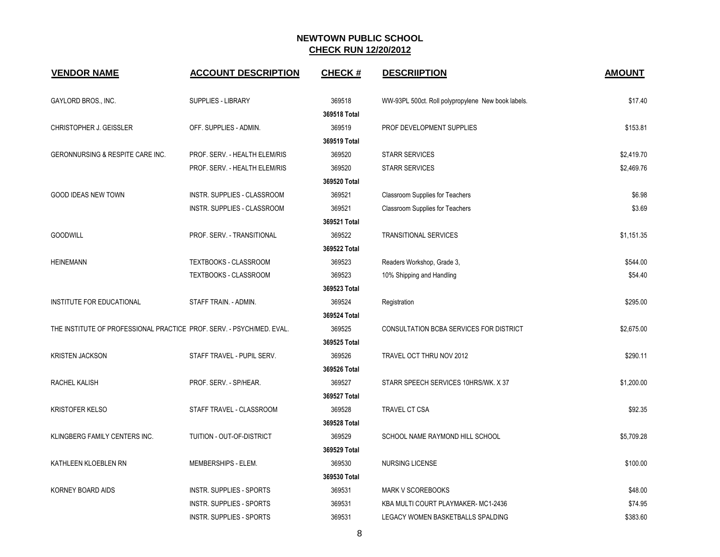| <b>VENDOR NAME</b>                                                    | <b>ACCOUNT DESCRIPTION</b>      | <b>CHECK#</b> | <b>DESCRIPTION</b>                                 | <b>AMOUNT</b> |
|-----------------------------------------------------------------------|---------------------------------|---------------|----------------------------------------------------|---------------|
| GAYLORD BROS., INC.                                                   | <b>SUPPLIES - LIBRARY</b>       | 369518        | WW-93PL 500ct. Roll polypropylene New book labels. | \$17.40       |
|                                                                       |                                 | 369518 Total  |                                                    |               |
| <b>CHRISTOPHER J. GEISSLER</b>                                        | OFF. SUPPLIES - ADMIN.          | 369519        | PROF DEVELOPMENT SUPPLIES                          | \$153.81      |
|                                                                       |                                 | 369519 Total  |                                                    |               |
| GERONNURSING & RESPITE CARE INC.                                      | PROF. SERV. - HEALTH ELEM/RIS   | 369520        | <b>STARR SERVICES</b>                              | \$2,419.70    |
|                                                                       | PROF. SERV. - HEALTH ELEM/RIS   | 369520        | <b>STARR SERVICES</b>                              | \$2,469.76    |
|                                                                       |                                 | 369520 Total  |                                                    |               |
| <b>GOOD IDEAS NEW TOWN</b>                                            | INSTR. SUPPLIES - CLASSROOM     | 369521        | Classroom Supplies for Teachers                    | \$6.98        |
|                                                                       | INSTR. SUPPLIES - CLASSROOM     | 369521        | Classroom Supplies for Teachers                    | \$3.69        |
|                                                                       |                                 | 369521 Total  |                                                    |               |
| <b>GOODWILL</b>                                                       | PROF. SERV. - TRANSITIONAL      | 369522        | <b>TRANSITIONAL SERVICES</b>                       | \$1,151.35    |
|                                                                       |                                 | 369522 Total  |                                                    |               |
| <b>HEINEMANN</b>                                                      | TEXTBOOKS - CLASSROOM           | 369523        | Readers Workshop, Grade 3,                         | \$544.00      |
|                                                                       | <b>TEXTBOOKS - CLASSROOM</b>    | 369523        | 10% Shipping and Handling                          | \$54.40       |
|                                                                       |                                 | 369523 Total  |                                                    |               |
| INSTITUTE FOR EDUCATIONAL                                             | STAFF TRAIN. - ADMIN.           | 369524        | Registration                                       | \$295.00      |
|                                                                       |                                 | 369524 Total  |                                                    |               |
| THE INSTITUTE OF PROFESSIONAL PRACTICE PROF. SERV. - PSYCH/MED. EVAL. |                                 | 369525        | CONSULTATION BCBA SERVICES FOR DISTRICT            | \$2,675.00    |
|                                                                       |                                 | 369525 Total  |                                                    |               |
| <b>KRISTEN JACKSON</b>                                                | STAFF TRAVEL - PUPIL SERV.      | 369526        | TRAVEL OCT THRU NOV 2012                           | \$290.11      |
|                                                                       |                                 | 369526 Total  |                                                    |               |
| RACHEL KALISH                                                         | PROF. SERV. - SP/HEAR.          | 369527        | STARR SPEECH SERVICES 10HRS/WK. X 37               | \$1,200.00    |
|                                                                       |                                 | 369527 Total  |                                                    |               |
| <b>KRISTOFER KELSO</b>                                                | STAFF TRAVEL - CLASSROOM        | 369528        | <b>TRAVEL CT CSA</b>                               | \$92.35       |
|                                                                       |                                 | 369528 Total  |                                                    |               |
| KLINGBERG FAMILY CENTERS INC.                                         | TUITION - OUT-OF-DISTRICT       | 369529        | SCHOOL NAME RAYMOND HILL SCHOOL                    | \$5,709.28    |
|                                                                       |                                 | 369529 Total  |                                                    |               |
| KATHLEEN KLOEBLEN RN                                                  | MEMBERSHIPS - ELEM.             | 369530        | <b>NURSING LICENSE</b>                             | \$100.00      |
|                                                                       |                                 | 369530 Total  |                                                    |               |
| KORNEY BOARD AIDS                                                     | <b>INSTR. SUPPLIES - SPORTS</b> | 369531        | <b>MARK V SCOREBOOKS</b>                           | \$48.00       |
|                                                                       | INSTR. SUPPLIES - SPORTS        | 369531        | KBA MULTI COURT PLAYMAKER-MC1-2436                 | \$74.95       |
|                                                                       | INSTR. SUPPLIES - SPORTS        | 369531        | LEGACY WOMEN BASKETBALLS SPALDING                  | \$383.60      |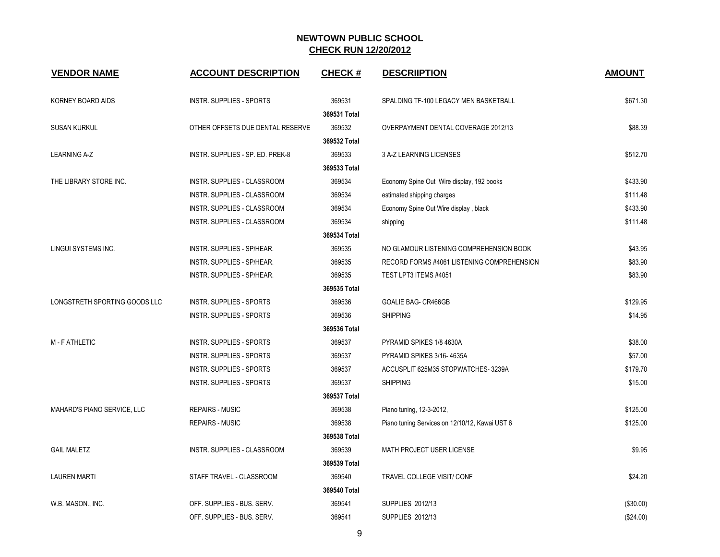| <b>VENDOR NAME</b>            | <b>ACCOUNT DESCRIPTION</b>       | <b>CHECK#</b>          | <b>DESCRIIPTION</b>                            | <b>AMOUNT</b> |
|-------------------------------|----------------------------------|------------------------|------------------------------------------------|---------------|
| KORNEY BOARD AIDS             | <b>INSTR. SUPPLIES - SPORTS</b>  | 369531<br>369531 Total | SPALDING TF-100 LEGACY MEN BASKETBALL          | \$671.30      |
| <b>SUSAN KURKUL</b>           | OTHER OFFSETS DUE DENTAL RESERVE | 369532<br>369532 Total | OVERPAYMENT DENTAL COVERAGE 2012/13            | \$88.39       |
| <b>LEARNING A-Z</b>           | INSTR. SUPPLIES - SP. ED. PREK-8 | 369533                 | 3 A-Z LEARNING LICENSES                        | \$512.70      |
|                               |                                  | 369533 Total           |                                                |               |
| THE LIBRARY STORE INC.        | INSTR. SUPPLIES - CLASSROOM      | 369534                 | Economy Spine Out Wire display, 192 books      | \$433.90      |
|                               | INSTR. SUPPLIES - CLASSROOM      | 369534                 | estimated shipping charges                     | \$111.48      |
|                               | INSTR. SUPPLIES - CLASSROOM      | 369534                 | Economy Spine Out Wire display, black          | \$433.90      |
|                               | INSTR. SUPPLIES - CLASSROOM      | 369534                 | shipping                                       | \$111.48      |
|                               |                                  | 369534 Total           |                                                |               |
| <b>LINGUI SYSTEMS INC.</b>    | INSTR. SUPPLIES - SP/HEAR.       | 369535                 | NO GLAMOUR LISTENING COMPREHENSION BOOK        | \$43.95       |
|                               | INSTR. SUPPLIES - SP/HEAR.       | 369535                 | RECORD FORMS #4061 LISTENING COMPREHENSION     | \$83.90       |
|                               | INSTR. SUPPLIES - SP/HEAR.       | 369535                 | TEST LPT3 ITEMS #4051                          | \$83.90       |
|                               |                                  | 369535 Total           |                                                |               |
| LONGSTRETH SPORTING GOODS LLC | <b>INSTR. SUPPLIES - SPORTS</b>  | 369536                 | <b>GOALIE BAG- CR466GB</b>                     | \$129.95      |
|                               | <b>INSTR. SUPPLIES - SPORTS</b>  | 369536                 | <b>SHIPPING</b>                                | \$14.95       |
|                               |                                  | 369536 Total           |                                                |               |
| M - F ATHLETIC                | <b>INSTR. SUPPLIES - SPORTS</b>  | 369537                 | PYRAMID SPIKES 1/8 4630A                       | \$38.00       |
|                               | <b>INSTR. SUPPLIES - SPORTS</b>  | 369537                 | PYRAMID SPIKES 3/16-4635A                      | \$57.00       |
|                               | <b>INSTR. SUPPLIES - SPORTS</b>  | 369537                 | ACCUSPLIT 625M35 STOPWATCHES-3239A             | \$179.70      |
|                               | <b>INSTR. SUPPLIES - SPORTS</b>  | 369537                 | <b>SHIPPING</b>                                | \$15.00       |
|                               |                                  | 369537 Total           |                                                |               |
| MAHARD'S PIANO SERVICE, LLC   | <b>REPAIRS - MUSIC</b>           | 369538                 | Piano tuning, 12-3-2012,                       | \$125.00      |
|                               | <b>REPAIRS - MUSIC</b>           | 369538                 | Piano tuning Services on 12/10/12, Kawai UST 6 | \$125.00      |
|                               |                                  | 369538 Total           |                                                |               |
| <b>GAIL MALETZ</b>            | INSTR. SUPPLIES - CLASSROOM      | 369539                 | MATH PROJECT USER LICENSE                      | \$9.95        |
|                               |                                  | 369539 Total           |                                                |               |
| <b>LAUREN MARTI</b>           | STAFF TRAVEL - CLASSROOM         | 369540                 | TRAVEL COLLEGE VISIT/ CONF                     | \$24.20       |
|                               |                                  | 369540 Total           |                                                |               |
| W.B. MASON., INC.             | OFF. SUPPLIES - BUS. SERV.       | 369541                 | SUPPLIES 2012/13                               | (\$30.00)     |
|                               | OFF. SUPPLIES - BUS. SERV.       | 369541                 | SUPPLIES 2012/13                               | (\$24.00)     |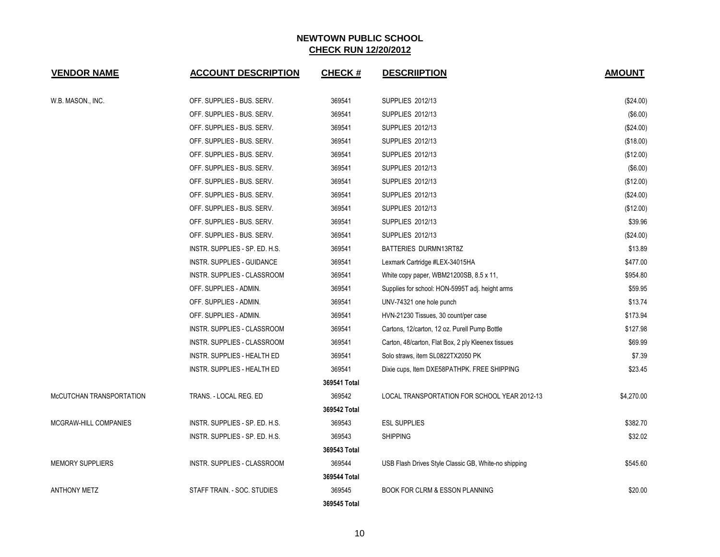| <b>VENDOR NAME</b>       | <b>ACCOUNT DESCRIPTION</b>     | <b>CHECK#</b> | <b>DESCRIIPTION</b>                                  | <b>AMOUNT</b> |
|--------------------------|--------------------------------|---------------|------------------------------------------------------|---------------|
| W.B. MASON., INC.        | OFF. SUPPLIES - BUS. SERV.     | 369541        | SUPPLIES 2012/13                                     | (\$24.00)     |
|                          | OFF. SUPPLIES - BUS. SERV.     | 369541        | SUPPLIES 2012/13                                     | (\$6.00)      |
|                          | OFF. SUPPLIES - BUS. SERV.     | 369541        | SUPPLIES 2012/13                                     | (\$24.00)     |
|                          | OFF. SUPPLIES - BUS. SERV.     | 369541        | SUPPLIES 2012/13                                     | (\$18.00)     |
|                          | OFF. SUPPLIES - BUS. SERV.     | 369541        | SUPPLIES 2012/13                                     | (\$12.00)     |
|                          | OFF. SUPPLIES - BUS. SERV.     | 369541        | <b>SUPPLIES 2012/13</b>                              | (\$6.00)      |
|                          | OFF. SUPPLIES - BUS. SERV.     | 369541        | <b>SUPPLIES 2012/13</b>                              | (\$12.00)     |
|                          | OFF. SUPPLIES - BUS. SERV.     | 369541        | SUPPLIES 2012/13                                     | (\$24.00)     |
|                          | OFF. SUPPLIES - BUS. SERV.     | 369541        | <b>SUPPLIES 2012/13</b>                              | (\$12.00)     |
|                          | OFF. SUPPLIES - BUS. SERV.     | 369541        | <b>SUPPLIES 2012/13</b>                              | \$39.96       |
|                          | OFF. SUPPLIES - BUS. SERV.     | 369541        | SUPPLIES 2012/13                                     | (\$24.00)     |
|                          | INSTR. SUPPLIES - SP. ED. H.S. | 369541        | BATTERIES DURMN13RT8Z                                | \$13.89       |
|                          | INSTR. SUPPLIES - GUIDANCE     | 369541        | Lexmark Cartridge #LEX-34015HA                       | \$477.00      |
|                          | INSTR. SUPPLIES - CLASSROOM    | 369541        | White copy paper, WBM21200SB, 8.5 x 11,              | \$954.80      |
|                          | OFF. SUPPLIES - ADMIN.         | 369541        | Supplies for school: HON-5995T adj. height arms      | \$59.95       |
|                          | OFF. SUPPLIES - ADMIN.         | 369541        | UNV-74321 one hole punch                             | \$13.74       |
|                          | OFF. SUPPLIES - ADMIN.         | 369541        | HVN-21230 Tissues, 30 count/per case                 | \$173.94      |
|                          | INSTR. SUPPLIES - CLASSROOM    | 369541        | Cartons, 12/carton, 12 oz. Purell Pump Bottle        | \$127.98      |
|                          | INSTR. SUPPLIES - CLASSROOM    | 369541        | Carton, 48/carton, Flat Box, 2 ply Kleenex tissues   | \$69.99       |
|                          | INSTR. SUPPLIES - HEALTH ED    | 369541        | Solo straws, item SL0822TX2050 PK                    | \$7.39        |
|                          | INSTR. SUPPLIES - HEALTH ED    | 369541        | Dixie cups, Item DXE58PATHPK. FREE SHIPPING          | \$23.45       |
|                          |                                | 369541 Total  |                                                      |               |
| McCUTCHAN TRANSPORTATION | TRANS. - LOCAL REG. ED         | 369542        | LOCAL TRANSPORTATION FOR SCHOOL YEAR 2012-13         | \$4,270.00    |
|                          |                                | 369542 Total  |                                                      |               |
| MCGRAW-HILL COMPANIES    | INSTR. SUPPLIES - SP. ED. H.S. | 369543        | <b>ESL SUPPLIES</b>                                  | \$382.70      |
|                          | INSTR. SUPPLIES - SP. ED. H.S. | 369543        | <b>SHIPPING</b>                                      | \$32.02       |
|                          |                                | 369543 Total  |                                                      |               |
| <b>MEMORY SUPPLIERS</b>  | INSTR. SUPPLIES - CLASSROOM    | 369544        | USB Flash Drives Style Classic GB, White-no shipping | \$545.60      |
|                          |                                | 369544 Total  |                                                      |               |
| <b>ANTHONY METZ</b>      | STAFF TRAIN. - SOC. STUDIES    | 369545        | <b>BOOK FOR CLRM &amp; ESSON PLANNING</b>            | \$20.00       |
|                          |                                | 369545 Total  |                                                      |               |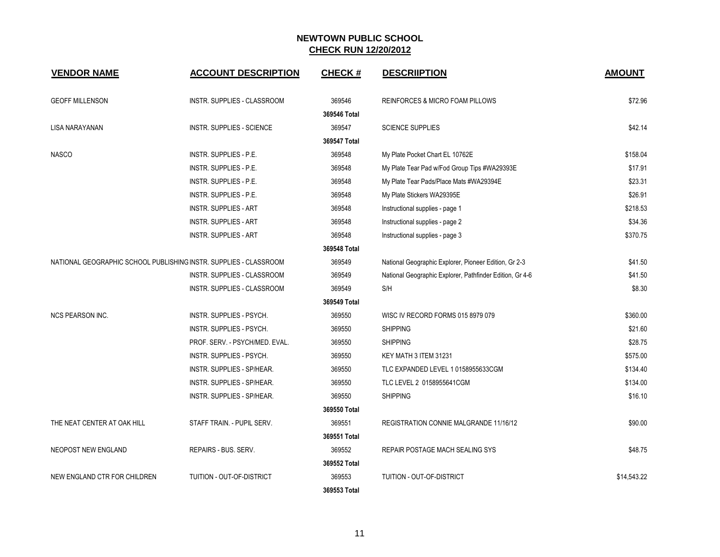| <b>VENDOR NAME</b>                                                | <b>ACCOUNT DESCRIPTION</b>      | <b>CHECK#</b> | <b>DESCRIIPTION</b>                                      | <b>AMOUNT</b> |
|-------------------------------------------------------------------|---------------------------------|---------------|----------------------------------------------------------|---------------|
| <b>GEOFF MILLENSON</b>                                            | INSTR. SUPPLIES - CLASSROOM     | 369546        | REINFORCES & MICRO FOAM PILLOWS                          | \$72.96       |
|                                                                   |                                 | 369546 Total  |                                                          |               |
| <b>LISA NARAYANAN</b>                                             | INSTR. SUPPLIES - SCIENCE       | 369547        | <b>SCIENCE SUPPLIES</b>                                  | \$42.14       |
|                                                                   |                                 | 369547 Total  |                                                          |               |
| <b>NASCO</b>                                                      | INSTR. SUPPLIES - P.E.          | 369548        | My Plate Pocket Chart EL 10762E                          | \$158.04      |
|                                                                   | INSTR. SUPPLIES - P.E.          | 369548        | My Plate Tear Pad w/Fod Group Tips #WA29393E             | \$17.91       |
|                                                                   | INSTR. SUPPLIES - P.E.          | 369548        | My Plate Tear Pads/Place Mats #WA29394E                  | \$23.31       |
|                                                                   | INSTR. SUPPLIES - P.E.          | 369548        | My Plate Stickers WA29395E                               | \$26.91       |
|                                                                   | <b>INSTR. SUPPLIES - ART</b>    | 369548        | Instructional supplies - page 1                          | \$218.53      |
|                                                                   | <b>INSTR. SUPPLIES - ART</b>    | 369548        | Instructional supplies - page 2                          | \$34.36       |
|                                                                   | <b>INSTR. SUPPLIES - ART</b>    | 369548        | Instructional supplies - page 3                          | \$370.75      |
|                                                                   |                                 | 369548 Total  |                                                          |               |
| NATIONAL GEOGRAPHIC SCHOOL PUBLISHING INSTR. SUPPLIES - CLASSROOM |                                 | 369549        | National Geographic Explorer, Pioneer Edition, Gr 2-3    | \$41.50       |
|                                                                   | INSTR. SUPPLIES - CLASSROOM     | 369549        | National Geographic Explorer, Pathfinder Edition, Gr 4-6 | \$41.50       |
|                                                                   | INSTR. SUPPLIES - CLASSROOM     | 369549        | S/H                                                      | \$8.30        |
|                                                                   |                                 | 369549 Total  |                                                          |               |
| <b>NCS PEARSON INC.</b>                                           | INSTR. SUPPLIES - PSYCH.        | 369550        | WISC IV RECORD FORMS 015 8979 079                        | \$360.00      |
|                                                                   | INSTR. SUPPLIES - PSYCH.        | 369550        | <b>SHIPPING</b>                                          | \$21.60       |
|                                                                   | PROF. SERV. - PSYCH/MED. EVAL.  | 369550        | <b>SHIPPING</b>                                          | \$28.75       |
|                                                                   | <b>INSTR. SUPPLIES - PSYCH.</b> | 369550        | KEY MATH 3 ITEM 31231                                    | \$575.00      |
|                                                                   | INSTR. SUPPLIES - SP/HEAR.      | 369550        | TLC EXPANDED LEVEL 1 0158955633CGM                       | \$134.40      |
|                                                                   | INSTR. SUPPLIES - SP/HEAR.      | 369550        | TLC LEVEL 2 0158955641CGM                                | \$134.00      |
|                                                                   | INSTR. SUPPLIES - SP/HEAR.      | 369550        | <b>SHIPPING</b>                                          | \$16.10       |
|                                                                   |                                 | 369550 Total  |                                                          |               |
| THE NEAT CENTER AT OAK HILL                                       | STAFF TRAIN. - PUPIL SERV.      | 369551        | <b>REGISTRATION CONNIE MALGRANDE 11/16/12</b>            | \$90.00       |
|                                                                   |                                 | 369551 Total  |                                                          |               |
| NEOPOST NEW ENGLAND                                               | REPAIRS - BUS. SERV.            | 369552        | REPAIR POSTAGE MACH SEALING SYS                          | \$48.75       |
|                                                                   |                                 | 369552 Total  |                                                          |               |
| NEW ENGLAND CTR FOR CHILDREN                                      | TUITION - OUT-OF-DISTRICT       | 369553        | TUITION - OUT-OF-DISTRICT                                | \$14,543.22   |
|                                                                   |                                 | 369553 Total  |                                                          |               |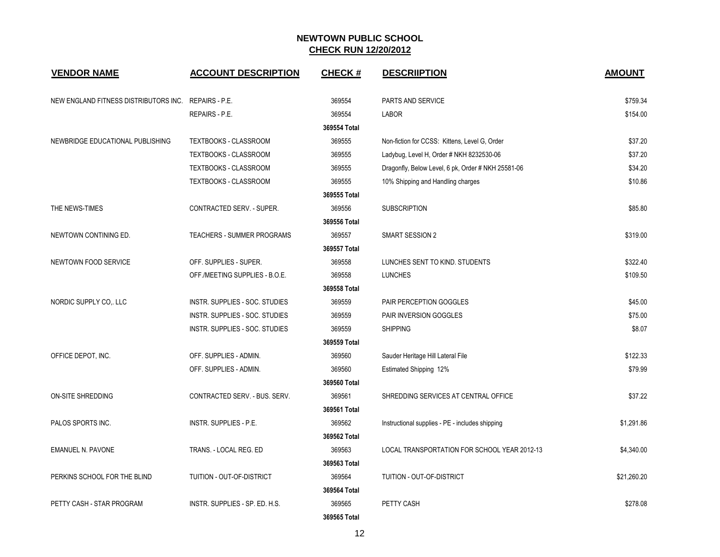| <b>VENDOR NAME</b>                                   | <b>ACCOUNT DESCRIPTION</b>        | <b>CHECK#</b> | <b>DESCRIPTION</b>                                 | <b>AMOUNT</b> |
|------------------------------------------------------|-----------------------------------|---------------|----------------------------------------------------|---------------|
| NEW ENGLAND FITNESS DISTRIBUTORS INC. REPAIRS - P.E. |                                   | 369554        | PARTS AND SERVICE                                  | \$759.34      |
|                                                      | <b>REPAIRS - P.E.</b>             | 369554        | <b>LABOR</b>                                       | \$154.00      |
|                                                      |                                   | 369554 Total  |                                                    |               |
| NEWBRIDGE EDUCATIONAL PUBLISHING                     | TEXTBOOKS - CLASSROOM             | 369555        | Non-fiction for CCSS: Kittens, Level G, Order      | \$37.20       |
|                                                      | TEXTBOOKS - CLASSROOM             | 369555        | Ladybug, Level H, Order # NKH 8232530-06           | \$37.20       |
|                                                      | TEXTBOOKS - CLASSROOM             | 369555        | Dragonfly, Below Level, 6 pk, Order # NKH 25581-06 | \$34.20       |
|                                                      | TEXTBOOKS - CLASSROOM             | 369555        | 10% Shipping and Handling charges                  | \$10.86       |
|                                                      |                                   | 369555 Total  |                                                    |               |
| THE NEWS-TIMES                                       | CONTRACTED SERV. - SUPER.         | 369556        | <b>SUBSCRIPTION</b>                                | \$85.80       |
|                                                      |                                   | 369556 Total  |                                                    |               |
| NEWTOWN CONTINING ED.                                | <b>TEACHERS - SUMMER PROGRAMS</b> | 369557        | <b>SMART SESSION 2</b>                             | \$319.00      |
|                                                      |                                   | 369557 Total  |                                                    |               |
| NEWTOWN FOOD SERVICE                                 | OFF. SUPPLIES - SUPER.            | 369558        | LUNCHES SENT TO KIND. STUDENTS                     | \$322.40      |
|                                                      | OFF./MEETING SUPPLIES - B.O.E.    | 369558        | <b>LUNCHES</b>                                     | \$109.50      |
|                                                      |                                   | 369558 Total  |                                                    |               |
| NORDIC SUPPLY CO,. LLC                               | INSTR. SUPPLIES - SOC. STUDIES    | 369559        | PAIR PERCEPTION GOGGLES                            | \$45.00       |
|                                                      | INSTR. SUPPLIES - SOC. STUDIES    | 369559        | PAIR INVERSION GOGGLES                             | \$75.00       |
|                                                      | INSTR. SUPPLIES - SOC. STUDIES    | 369559        | <b>SHIPPING</b>                                    | \$8.07        |
|                                                      |                                   | 369559 Total  |                                                    |               |
| OFFICE DEPOT, INC.                                   | OFF. SUPPLIES - ADMIN.            | 369560        | Sauder Heritage Hill Lateral File                  | \$122.33      |
|                                                      | OFF. SUPPLIES - ADMIN.            | 369560        | Estimated Shipping 12%                             | \$79.99       |
|                                                      |                                   | 369560 Total  |                                                    |               |
| ON-SITE SHREDDING                                    | CONTRACTED SERV. - BUS. SERV.     | 369561        | SHREDDING SERVICES AT CENTRAL OFFICE               | \$37.22       |
|                                                      |                                   | 369561 Total  |                                                    |               |
| PALOS SPORTS INC.                                    | INSTR. SUPPLIES - P.E.            | 369562        | Instructional supplies - PE - includes shipping    | \$1,291.86    |
|                                                      |                                   | 369562 Total  |                                                    |               |
| <b>EMANUEL N. PAVONE</b>                             | TRANS. - LOCAL REG. ED            | 369563        | LOCAL TRANSPORTATION FOR SCHOOL YEAR 2012-13       | \$4,340.00    |
|                                                      |                                   | 369563 Total  |                                                    |               |
| PERKINS SCHOOL FOR THE BLIND                         | TUITION - OUT-OF-DISTRICT         | 369564        | TUITION - OUT-OF-DISTRICT                          | \$21,260.20   |
|                                                      |                                   | 369564 Total  |                                                    |               |
| PETTY CASH - STAR PROGRAM                            | INSTR. SUPPLIES - SP. ED. H.S.    | 369565        | PETTY CASH                                         | \$278.08      |
|                                                      |                                   | 369565 Total  |                                                    |               |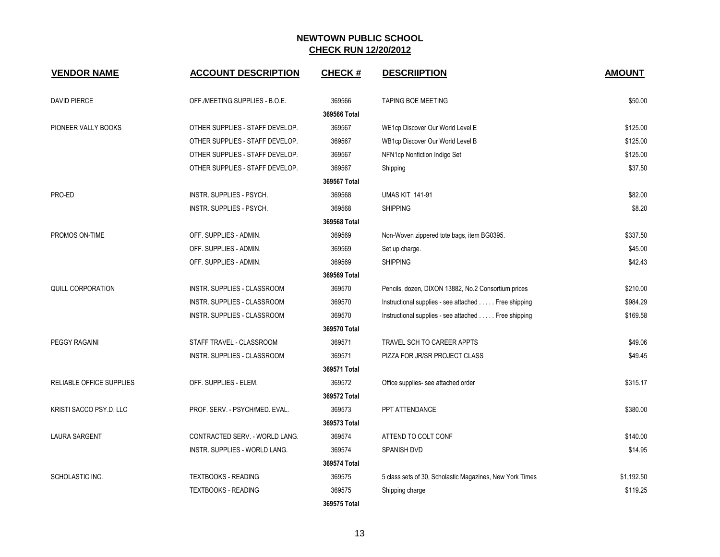| <b>VENDOR NAME</b>              | <b>ACCOUNT DESCRIPTION</b>         | <b>CHECK#</b> | <b>DESCRIIPTION</b>                                      | <b>AMOUNT</b> |
|---------------------------------|------------------------------------|---------------|----------------------------------------------------------|---------------|
| <b>DAVID PIERCE</b>             | OFF./MEETING SUPPLIES - B.O.E.     | 369566        | TAPING BOE MEETING                                       | \$50.00       |
|                                 |                                    | 369566 Total  |                                                          |               |
| PIONEER VALLY BOOKS             | OTHER SUPPLIES - STAFF DEVELOP.    | 369567        | WE1cp Discover Our World Level E                         | \$125.00      |
|                                 | OTHER SUPPLIES - STAFF DEVELOP.    | 369567        | WB1cp Discover Our World Level B                         | \$125.00      |
|                                 | OTHER SUPPLIES - STAFF DEVELOP.    | 369567        | NFN1cp Nonfiction Indigo Set                             | \$125.00      |
|                                 | OTHER SUPPLIES - STAFF DEVELOP.    | 369567        | Shipping                                                 | \$37.50       |
|                                 |                                    | 369567 Total  |                                                          |               |
| PRO-ED                          | INSTR. SUPPLIES - PSYCH.           | 369568        | <b>UMAS KIT 141-91</b>                                   | \$82.00       |
|                                 | INSTR. SUPPLIES - PSYCH.           | 369568        | <b>SHIPPING</b>                                          | \$8.20        |
|                                 |                                    | 369568 Total  |                                                          |               |
| PROMOS ON-TIME                  | OFF. SUPPLIES - ADMIN.             | 369569        | Non-Woven zippered tote bags, item BG0395.               | \$337.50      |
|                                 | OFF. SUPPLIES - ADMIN.             | 369569        | Set up charge.                                           | \$45.00       |
|                                 | OFF. SUPPLIES - ADMIN.             | 369569        | <b>SHIPPING</b>                                          | \$42.43       |
|                                 |                                    | 369569 Total  |                                                          |               |
| QUILL CORPORATION               | <b>INSTR. SUPPLIES - CLASSROOM</b> | 369570        | Pencils, dozen, DIXON 13882, No.2 Consortium prices      | \$210.00      |
|                                 | INSTR. SUPPLIES - CLASSROOM        | 369570        | Instructional supplies - see attached Free shipping      | \$984.29      |
|                                 | INSTR. SUPPLIES - CLASSROOM        | 369570        | Instructional supplies - see attached Free shipping      | \$169.58      |
|                                 |                                    | 369570 Total  |                                                          |               |
| <b>PEGGY RAGAINI</b>            | STAFF TRAVEL - CLASSROOM           | 369571        | TRAVEL SCH TO CAREER APPTS                               | \$49.06       |
|                                 | INSTR. SUPPLIES - CLASSROOM        | 369571        | PIZZA FOR JR/SR PROJECT CLASS                            | \$49.45       |
|                                 |                                    | 369571 Total  |                                                          |               |
| <b>RELIABLE OFFICE SUPPLIES</b> | OFF. SUPPLIES - ELEM.              | 369572        | Office supplies- see attached order                      | \$315.17      |
|                                 |                                    | 369572 Total  |                                                          |               |
| KRISTI SACCO PSY.D. LLC         | PROF. SERV. - PSYCH/MED. EVAL.     | 369573        | PPT ATTENDANCE                                           | \$380.00      |
|                                 |                                    | 369573 Total  |                                                          |               |
| <b>LAURA SARGENT</b>            | CONTRACTED SERV. - WORLD LANG.     | 369574        | ATTEND TO COLT CONF                                      | \$140.00      |
|                                 | INSTR. SUPPLIES - WORLD LANG.      | 369574        | SPANISH DVD                                              | \$14.95       |
|                                 |                                    | 369574 Total  |                                                          |               |
| SCHOLASTIC INC.                 | <b>TEXTBOOKS - READING</b>         | 369575        | 5 class sets of 30, Scholastic Magazines, New York Times | \$1,192.50    |
|                                 | <b>TEXTBOOKS - READING</b>         | 369575        | Shipping charge                                          | \$119.25      |
|                                 |                                    | 369575 Total  |                                                          |               |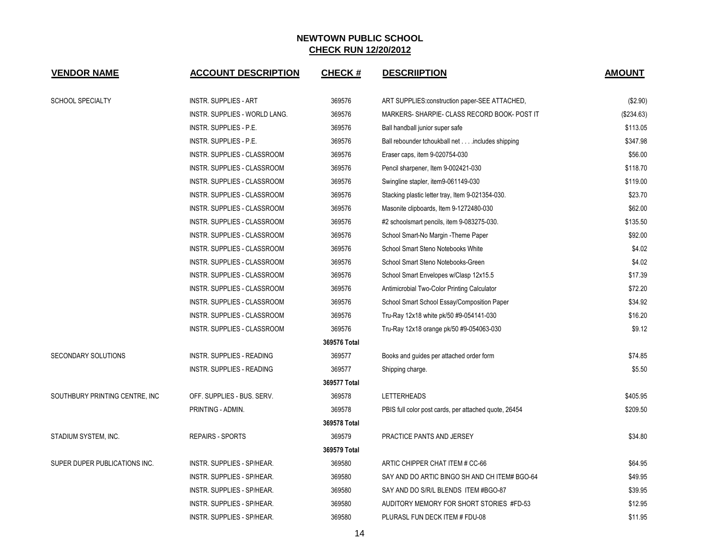| <b>VENDOR NAME</b>              | <b>ACCOUNT DESCRIPTION</b>           | <b>CHECK#</b> | <b>DESCRIPTION</b>                                    | <b>AMOUNT</b> |
|---------------------------------|--------------------------------------|---------------|-------------------------------------------------------|---------------|
| <b>SCHOOL SPECIALTY</b>         | <b>INSTR. SUPPLIES - ART</b>         | 369576        | ART SUPPLIES: construction paper-SEE ATTACHED,        | (\$2.90)      |
|                                 | <b>INSTR. SUPPLIES - WORLD LANG.</b> | 369576        | MARKERS-SHARPIE-CLASS RECORD BOOK- POST IT            | (\$234.63)    |
|                                 | INSTR. SUPPLIES - P.E.               | 369576        | Ball handball junior super safe                       | \$113.05      |
|                                 | INSTR. SUPPLIES - P.E.               | 369576        | Ball rebounder tchoukball net includes shipping       | \$347.98      |
|                                 | INSTR. SUPPLIES - CLASSROOM          | 369576        | Eraser caps, item 9-020754-030                        | \$56.00       |
|                                 | INSTR. SUPPLIES - CLASSROOM          | 369576        | Pencil sharpener, Item 9-002421-030                   | \$118.70      |
|                                 | INSTR. SUPPLIES - CLASSROOM          | 369576        | Swingline stapler, item9-061149-030                   | \$119.00      |
|                                 | INSTR. SUPPLIES - CLASSROOM          | 369576        | Stacking plastic letter tray, Item 9-021354-030.      | \$23.70       |
|                                 | INSTR. SUPPLIES - CLASSROOM          | 369576        | Masonite clipboards, Item 9-1272480-030               | \$62.00       |
|                                 | INSTR. SUPPLIES - CLASSROOM          | 369576        | #2 schoolsmart pencils, item 9-083275-030.            | \$135.50      |
|                                 | INSTR. SUPPLIES - CLASSROOM          | 369576        | School Smart-No Margin - Theme Paper                  | \$92.00       |
|                                 | INSTR. SUPPLIES - CLASSROOM          | 369576        | School Smart Steno Notebooks White                    | \$4.02        |
|                                 | INSTR. SUPPLIES - CLASSROOM          | 369576        | School Smart Steno Notebooks-Green                    | \$4.02        |
|                                 | INSTR. SUPPLIES - CLASSROOM          | 369576        | School Smart Envelopes w/Clasp 12x15.5                | \$17.39       |
|                                 | INSTR. SUPPLIES - CLASSROOM          | 369576        | Antimicrobial Two-Color Printing Calculator           | \$72.20       |
|                                 | INSTR. SUPPLIES - CLASSROOM          | 369576        | School Smart School Essay/Composition Paper           | \$34.92       |
|                                 | INSTR. SUPPLIES - CLASSROOM          | 369576        | Tru-Ray 12x18 white pk/50 #9-054141-030               | \$16.20       |
|                                 | INSTR. SUPPLIES - CLASSROOM          | 369576        | Tru-Ray 12x18 orange pk/50 #9-054063-030              | \$9.12        |
|                                 |                                      | 369576 Total  |                                                       |               |
| SECONDARY SOLUTIONS             | <b>INSTR. SUPPLIES - READING</b>     | 369577        | Books and guides per attached order form              | \$74.85       |
|                                 | <b>INSTR. SUPPLIES - READING</b>     | 369577        | Shipping charge.                                      | \$5.50        |
|                                 |                                      | 369577 Total  |                                                       |               |
| SOUTHBURY PRINTING CENTRE, INC. | OFF. SUPPLIES - BUS. SERV.           | 369578        | <b>LETTERHEADS</b>                                    | \$405.95      |
|                                 | PRINTING - ADMIN.                    | 369578        | PBIS full color post cards, per attached quote, 26454 | \$209.50      |
|                                 |                                      | 369578 Total  |                                                       |               |
| STADIUM SYSTEM, INC.            | <b>REPAIRS - SPORTS</b>              | 369579        | PRACTICE PANTS AND JERSEY                             | \$34.80       |
|                                 |                                      | 369579 Total  |                                                       |               |
| SUPER DUPER PUBLICATIONS INC.   | INSTR. SUPPLIES - SP/HEAR.           | 369580        | ARTIC CHIPPER CHAT ITEM # CC-66                       | \$64.95       |
|                                 | INSTR. SUPPLIES - SP/HEAR.           | 369580        | SAY AND DO ARTIC BINGO SH AND CH ITEM# BGO-64         | \$49.95       |
|                                 | INSTR. SUPPLIES - SP/HEAR.           | 369580        | SAY AND DO S/R/L BLENDS ITEM #BGO-87                  | \$39.95       |
|                                 | INSTR. SUPPLIES - SP/HEAR.           | 369580        | AUDITORY MEMORY FOR SHORT STORIES #FD-53              | \$12.95       |
|                                 | INSTR. SUPPLIES - SP/HEAR.           | 369580        | PLURASL FUN DECK ITEM # FDU-08                        | \$11.95       |